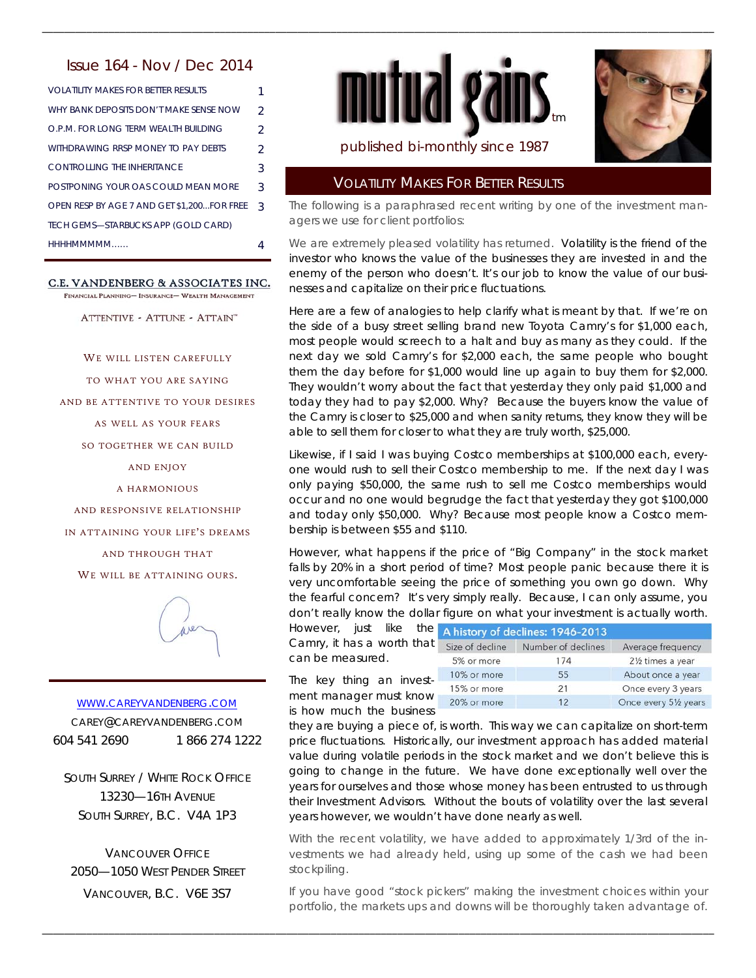## Issue 164 - Nov / Dec 2014

| VOLATILITY MAKES FOR BETTER RESULTS        |                |
|--------------------------------------------|----------------|
| WHY BANK DEPOSITS DON'T MAKE SENSE NOW     | $\mathfrak{D}$ |
| O.P.M. FOR LONG TERM WEALTH BUILDING       | $\mathcal{P}$  |
| WITHDRAWING RRSP MONEY TO PAY DEBTS        | $\mathcal{P}$  |
| CONTROLLING THE INHERITANCE                | 3              |
| POSTPONING YOUR OAS COULD MEAN MORE        | 3              |
| OPEN RESP BY AGE 7 AND GET \$1,200FOR FREE | २              |
| TECH GEMS-STARBUCKS APP (GOLD CARD)        |                |
| HHHHMMMMM                                  |                |

#### C.E. VANDENBERG & ASSOCIATES INC.

FINANCIAL PLANNING- INSURANCE- WEALTH MANAGEMENT

ATTENTIVE - ATTUNE - ATTAIN"

WE WILL LISTEN CAREFULLY

TO WHAT YOU ARE SAYING

AND BE ATTENTIVE TO YOUR DESIRES

AS WELL AS YOUR FEARS

SO TOGETHER WE CAN BUILD

AND ENJOY

A HARMONIOUS

AND RESPONSIVE RELATIONSHIP

IN ATTAINING YOUR LIFE'S DREAMS

AND THROUGH THAT

WE WILL BE ATTAINING OURS.



# WWW.CAREYVANDENBERG.COM

CAREY@CAREYVANDENBERG.COM 604 541 2690 1 866 274 1222

SOUTH SURREY / WHITE ROCK OFFICE 13230—16TH AVENUE SOUTH SURREY, B.C. V4A 1P3

VANCOUVER OFFICE 2050—1050 WEST PENDER STREET VANCOUVER, B.C. V6E 3S7



\_\_\_\_\_\_\_\_\_\_\_\_\_\_\_\_\_\_\_\_\_\_\_\_\_\_\_\_\_\_\_\_\_\_\_\_\_\_\_\_\_\_\_\_\_\_\_\_\_\_\_\_\_\_\_\_\_\_\_\_\_\_\_\_\_\_\_\_\_\_\_\_\_\_\_\_\_\_\_\_\_\_\_\_\_\_\_\_\_\_\_\_\_\_\_\_\_\_\_\_\_\_\_\_\_\_\_\_\_\_\_\_\_\_\_\_\_\_\_\_\_



Average frequency 21/2 times a year About once a year Once every 3 years Once every 51/2 years

## published bi-monthly since 1987

## VOLATILITY MAKES FOR BETTER RESULTS

The following is a paraphrased recent writing by one of the investment managers we use for client portfolios:

We are extremely pleased volatility has returned. Volatility is the friend of the investor who knows the value of the businesses they are invested in and the enemy of the person who doesn't. It's our job to know the value of our businesses and capitalize on their price fluctuations.

Here are a few of analogies to help clarify what is meant by that. If we're on the side of a busy street selling brand new Toyota Camry's for \$1,000 each, most people would screech to a halt and buy as many as they could. If the next day we sold Camry's for \$2,000 each, the same people who bought them the day before for \$1,000 would line up again to buy them for \$2,000. They wouldn't worry about the fact that yesterday they only paid \$1,000 and today they had to pay \$2,000. Why? Because the buyers know the value of the Camry is closer to \$25,000 and when sanity returns, they know they will be able to sell them for closer to what they are truly worth, \$25,000.

Likewise, if I said I was buying Costco memberships at \$100,000 each, everyone would rush to sell their Costco membership to me. If the next day I was only paying \$50,000, the same rush to sell me Costco memberships would occur and no one would begrudge the fact that yesterday they got \$100,000 and today only \$50,000. Why? Because most people know a Costco membership is between \$55 and \$110.

However, what happens if the price of "Big Company" in the stock market falls by 20% in a short period of time? Most people panic because there it is very uncomfortable seeing the price of something you own go down. Why the fearful concern? It's very simply really. Because, I can only assume, you don't really know the dollar figure on what your investment is actually worth.

However, just like the A history of declines: 1946-2013 Camry, it has a worth that size of decline Number of declines can be measured.

\_\_\_\_\_\_\_\_\_\_\_\_\_\_\_\_\_\_\_\_\_\_\_\_\_\_\_\_\_\_\_\_\_\_\_\_\_\_\_\_\_\_\_\_\_\_\_\_\_\_\_\_\_\_\_\_\_\_\_\_\_\_\_\_\_\_\_\_\_\_\_\_\_\_\_\_\_\_\_\_\_\_\_\_\_\_\_\_\_\_\_\_\_\_\_\_\_\_\_\_\_\_\_\_\_\_\_\_\_\_\_\_\_\_\_\_\_\_\_\_\_

| Can be measured.                                   | 5% or more  | 174 |
|----------------------------------------------------|-------------|-----|
| The key thing an invest-<br>ment manager must know | 10% or more | 55  |
|                                                    | 15% or more | 21  |
|                                                    | 20% or more | 12  |
| is how much the business                           |             |     |

they are buying a piece of, is worth. This way we can capitalize on short-term price fluctuations. Historically, our investment approach has added material value during volatile periods in the stock market and we don't believe this is going to change in the future. We have done exceptionally well over the years for ourselves and those whose money has been entrusted to us through their Investment Advisors. Without the bouts of volatility over the last several years however, we wouldn't have done nearly as well.

With the recent volatility, we have added to approximately 1/3rd of the investments we had already held, using up some of the cash we had been stockpiling.

If you have good "stock pickers" making the investment choices within your portfolio, the markets ups and downs will be thoroughly taken advantage of.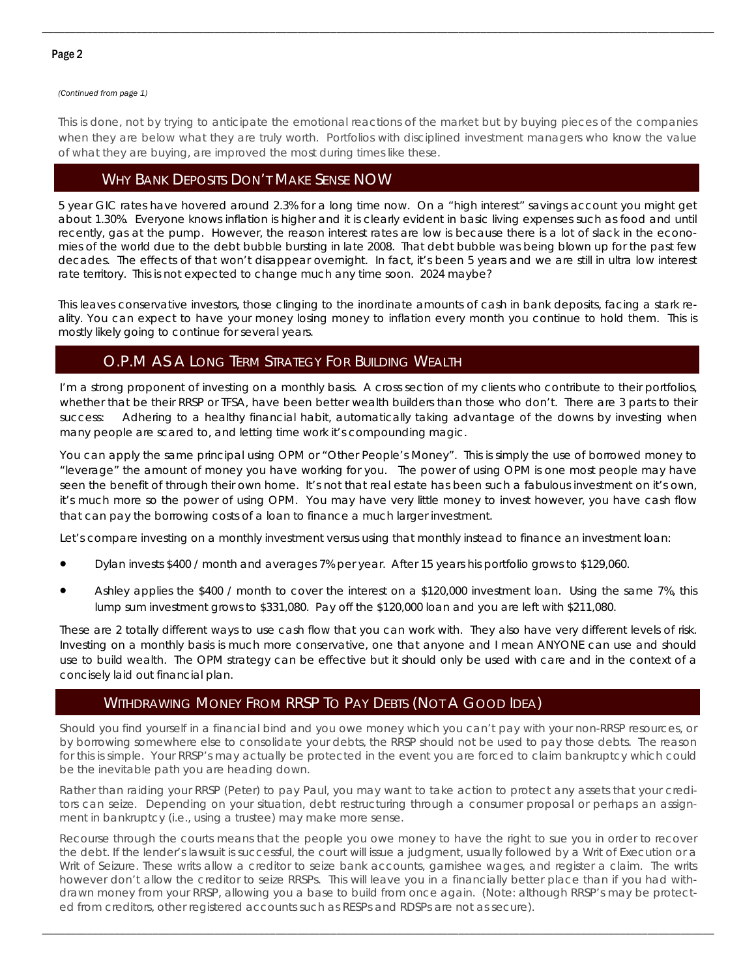### Page 2

#### *(Continued from page 1)*

This is done, not by trying to anticipate the emotional reactions of the market but by buying pieces of the companies when they are below what they are truly worth. Portfolios with disciplined investment managers who know the value of what they are buying, are improved the most during times like these.

\_\_\_\_\_\_\_\_\_\_\_\_\_\_\_\_\_\_\_\_\_\_\_\_\_\_\_\_\_\_\_\_\_\_\_\_\_\_\_\_\_\_\_\_\_\_\_\_\_\_\_\_\_\_\_\_\_\_\_\_\_\_\_\_\_\_\_\_\_\_\_\_\_\_\_\_\_\_\_\_\_\_\_\_\_\_\_\_\_\_\_\_\_\_\_\_\_\_\_\_\_\_\_\_\_\_\_\_\_\_\_\_\_\_\_\_\_\_\_\_\_

## WHY BANK DEPOSITS DON'T MAKE SENSE NOW

5 year GIC rates have hovered around 2.3% for a long time now. On a "high interest" savings account you might get about 1.30%. Everyone knows inflation is higher and it is clearly evident in basic living expenses such as food and until recently, gas at the pump. However, the reason interest rates are low is because there is a lot of slack in the economies of the world due to the debt bubble bursting in late 2008. That debt bubble was being blown up for the past few decades. The effects of that won't disappear overnight. In fact, it's been 5 years and we are still in ultra low interest rate territory. This is not expected to change much any time soon. 2024 maybe?

This leaves conservative investors, those clinging to the inordinate amounts of cash in bank deposits, facing a stark reality. You can expect to have your money losing money to inflation every month you continue to hold them. This is mostly likely going to continue for several years.

# O.P.M AS A LONG TERM STRATEGY FOR BUILDING WEALTH

I'm a strong proponent of investing on a monthly basis. A cross section of my clients who contribute to their portfolios, whether that be their RRSP or TFSA, have been better wealth builders than those who don't. There are 3 parts to their success: Adhering to a healthy financial habit, automatically taking advantage of the downs by investing when many people are scared to, and letting time work it's compounding magic.

You can apply the same principal using OPM or "Other People's Money". This is simply the use of borrowed money to "leverage" the amount of money you have working for you. The power of using OPM is one most people may have seen the benefit of through their own home. It's not that real estate has been such a fabulous investment on it's own, it's much more so the power of using OPM. You may have very little money to invest however, you have cash flow that can pay the borrowing costs of a loan to finance a much larger investment.

Let's compare investing on a monthly investment versus using that monthly instead to finance an investment loan:

- Dylan invests \$400 / month and averages 7% per year. After 15 years his portfolio grows to \$129,060.
- Ashley applies the \$400 / month to cover the interest on a \$120,000 investment loan. Using the same 7%, this lump sum investment grows to \$331,080. Pay off the \$120,000 loan and you are left with \$211,080.

These are 2 totally different ways to use cash flow that you can work with. They also have very different levels of risk. Investing on a monthly basis is much more conservative, one that anyone and I mean ANYONE can use and should use to build wealth. The OPM strategy can be effective but it should only be used with care and in the context of a concisely laid out financial plan.

## WITHDRAWING MONEY FROM RRSP TO PAY DEBTS (NOT A GOOD IDEA)

Should you find yourself in a financial bind and you owe money which you can't pay with your non-RRSP resources, or by borrowing somewhere else to consolidate your debts, the RRSP should not be used to pay those debts. The reason for this is simple. Your RRSP's may actually be protected in the event you are forced to claim bankruptcy which could be the inevitable path you are heading down.

Rather than raiding your RRSP (Peter) to pay Paul, you may want to take action to protect any assets that your creditors can seize. Depending on your situation, debt restructuring through a consumer proposal or perhaps an assignment in bankruptcy (i.e., using a trustee) may make more sense.

Recourse through the courts means that the people you owe money to have the right to sue you in order to recover the debt. If the lender's lawsuit is successful, the court will issue a judgment, usually followed by a Writ of Execution or a Writ of Seizure. These writs allow a creditor to seize bank accounts, garnishee wages, and register a claim. The writs however don't allow the creditor to seize RRSPs. This will leave you in a financially better place than if you had withdrawn money from your RRSP, allowing you a base to build from once again. (Note: although RRSP's may be protected from creditors, other registered accounts such as RESPs and RDSPs are not as secure).

\_\_\_\_\_\_\_\_\_\_\_\_\_\_\_\_\_\_\_\_\_\_\_\_\_\_\_\_\_\_\_\_\_\_\_\_\_\_\_\_\_\_\_\_\_\_\_\_\_\_\_\_\_\_\_\_\_\_\_\_\_\_\_\_\_\_\_\_\_\_\_\_\_\_\_\_\_\_\_\_\_\_\_\_\_\_\_\_\_\_\_\_\_\_\_\_\_\_\_\_\_\_\_\_\_\_\_\_\_\_\_\_\_\_\_\_\_\_\_\_\_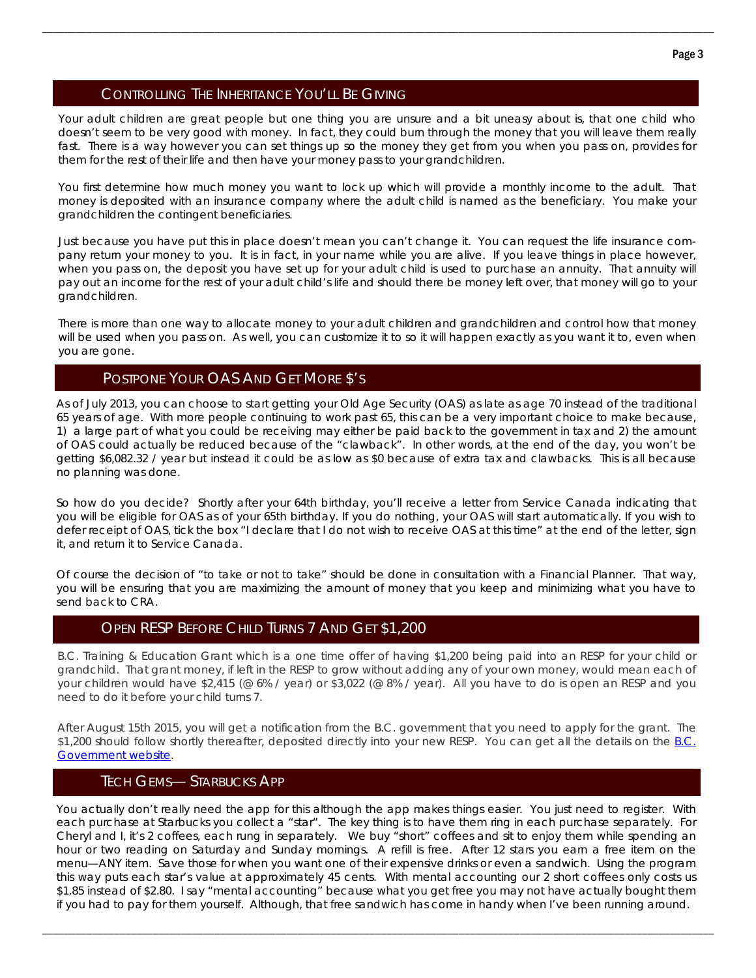# CONTROLLING THE INHERITANCE YOU'LL BE GIVING

Your adult children are great people but one thing you are unsure and a bit uneasy about is, that one child who doesn't seem to be very good with money. In fact, they could burn through the money that you will leave them really fast. There is a way however you can set things up so the money they get from you when you pass on, provides for them for the rest of their life and then have your money pass to your grandchildren.

\_\_\_\_\_\_\_\_\_\_\_\_\_\_\_\_\_\_\_\_\_\_\_\_\_\_\_\_\_\_\_\_\_\_\_\_\_\_\_\_\_\_\_\_\_\_\_\_\_\_\_\_\_\_\_\_\_\_\_\_\_\_\_\_\_\_\_\_\_\_\_\_\_\_\_\_\_\_\_\_\_\_\_\_\_\_\_\_\_\_\_\_\_\_\_\_\_\_\_\_\_\_\_\_\_\_\_\_\_\_\_\_\_\_\_\_\_\_\_\_\_

You first determine how much money you want to lock up which will provide a monthly income to the adult. That money is deposited with an insurance company where the adult child is named as the beneficiary. You make your grandchildren the contingent beneficiaries.

Just because you have put this in place doesn't mean you can't change it. You can request the life insurance company return your money to you. It is in fact, in your name while you are alive. If you leave things in place however, when you pass on, the deposit you have set up for your adult child is used to purchase an annuity. That annuity will pay out an income for the rest of your adult child's life and should there be money left over, that money will go to your grandchildren.

There is more than one way to allocate money to your adult children and grandchildren and control how that money will be used when you pass on. As well, you can customize it to so it will happen exactly as you want it to, even when you are gone.

## POSTPONE YOUR OAS AND GET MORE \$'S

As of July 2013, you can choose to start getting your Old Age Security (OAS) as late as age 70 instead of the traditional 65 years of age. With more people continuing to work past 65, this can be a very important choice to make because, 1) a large part of what you could be receiving may either be paid back to the government in tax and 2) the amount of OAS could actually be reduced because of the "clawback". In other words, at the end of the day, you won't be getting \$6,082.32 / year but instead it could be as low as \$0 because of extra tax and clawbacks. This is all because no planning was done.

So how do you decide? Shortly after your 64th birthday, you'll receive a letter from Service Canada indicating that you will be eligible for OAS as of your 65th birthday. If you do nothing, your OAS will start automatically. If you wish to defer receipt of OAS, tick the box "I declare that I do not wish to receive OAS at this time" at the end of the letter, sign it, and return it to Service Canada.

Of course the decision of "to take or not to take" should be done in consultation with a Financial Planner. That way, you will be ensuring that you are maximizing the amount of money that you keep and minimizing what you have to send back to CRA.

# OPEN RESP BEFORE CHILD TURNS 7 AND GET \$1,200

B.C. Training & Education Grant which is a one time offer of having \$1,200 being paid into an RESP for your child or grandchild. That grant money, if left in the RESP to grow without adding any of your own money, would mean each of your children would have \$2,415 (@ 6% / year) or \$3,022 (@ 8% / year). All you have to do is open an RESP and you need to do it before your child turns 7.

After August 15th 2015, you will get a notification from the B.C. government that you need to apply for the grant. The \$1,200 should follow shortly thereafter, deposited directly into your new RESP. You can get all the details on the B.C. Government website.

### TECH GEMS— STARBUCKS APP

You actually don't really need the app for this although the app makes things easier. You just need to register. With each purchase at Starbucks you collect a "star". The key thing is to have them ring in each purchase separately. For Cheryl and I, it's 2 coffees, each rung in separately. We buy "short" coffees and sit to enjoy them while spending an hour or two reading on Saturday and Sunday mornings. A refill is free. After 12 stars you earn a free item on the menu—ANY item. Save those for when you want one of their expensive drinks or even a sandwich. Using the program this way puts each star's value at approximately 45 cents. With mental accounting our 2 short coffees only costs us \$1.85 instead of \$2.80. I say "mental accounting" because what you get free you may not have actually bought them if you had to pay for them yourself. Although, that free sandwich has come in handy when I've been running around.

\_\_\_\_\_\_\_\_\_\_\_\_\_\_\_\_\_\_\_\_\_\_\_\_\_\_\_\_\_\_\_\_\_\_\_\_\_\_\_\_\_\_\_\_\_\_\_\_\_\_\_\_\_\_\_\_\_\_\_\_\_\_\_\_\_\_\_\_\_\_\_\_\_\_\_\_\_\_\_\_\_\_\_\_\_\_\_\_\_\_\_\_\_\_\_\_\_\_\_\_\_\_\_\_\_\_\_\_\_\_\_\_\_\_\_\_\_\_\_\_\_